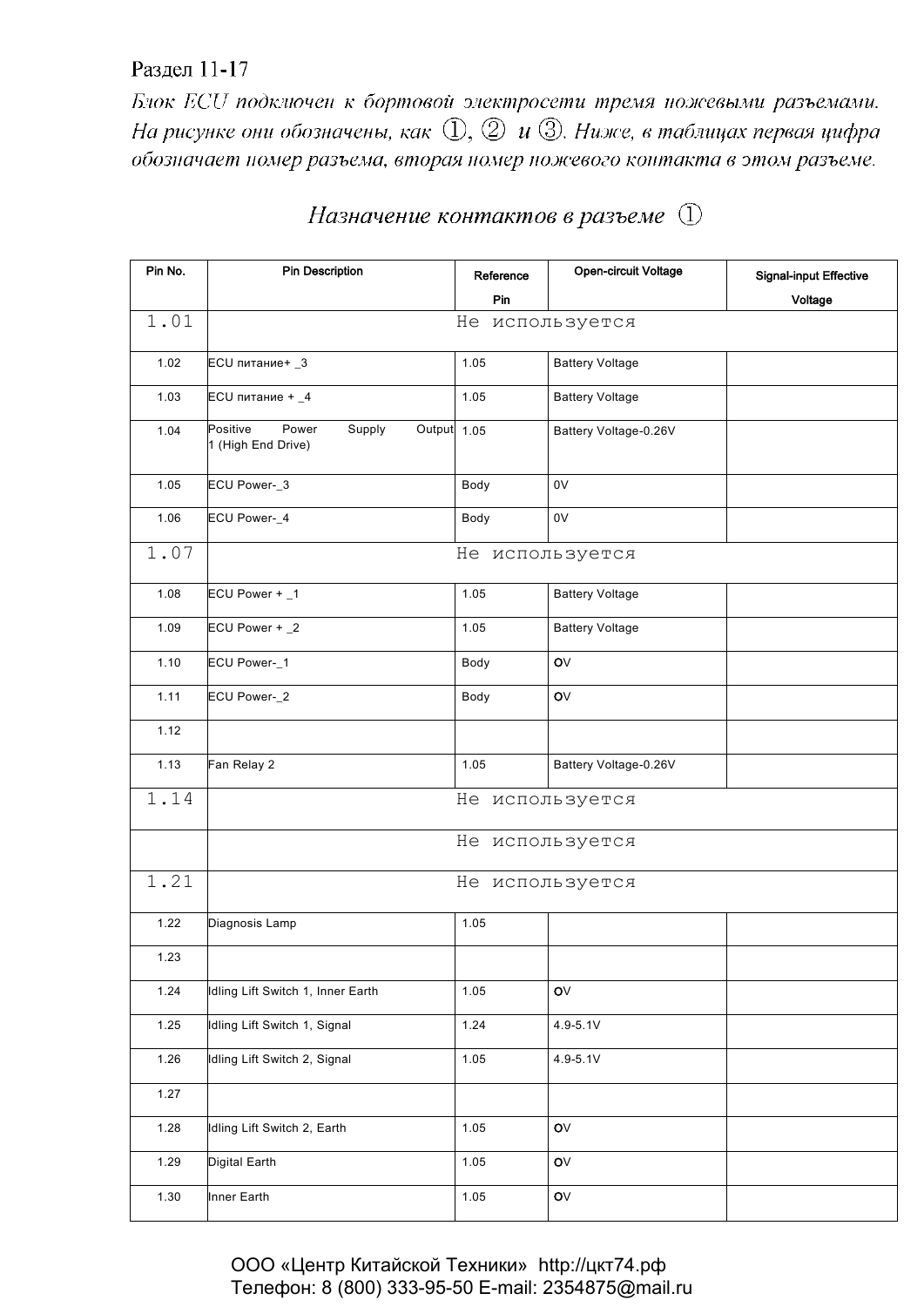## Раздел 11-17

Блок ECU подключен к бортовой электросети тремя ножевыми разъемами. На рисунке они обозначены, как  $\mathbb{Q}, \mathbb{Q}$  и  $\mathbb{G}$ . Ниже, в таблицах первая цифра обозначает номер разъема, вторая номер ножевого контакта в этом разъеме.

| Pin No. | <b>Pin Description</b>                                           | Reference       | Open-circuit Voltage   | <b>Signal-input Effective</b> |  |  |
|---------|------------------------------------------------------------------|-----------------|------------------------|-------------------------------|--|--|
|         |                                                                  | Pin             |                        | Voltage                       |  |  |
| 1.01    | Не используется                                                  |                 |                        |                               |  |  |
| 1.02    | ECU питание+ _3                                                  | 1.05            | <b>Battery Voltage</b> |                               |  |  |
| 1.03    | $ECU$ питание + $_4$                                             | 1.05            | <b>Battery Voltage</b> |                               |  |  |
| 1.04    | Positive<br>Power<br>Supply<br>Output 1.05<br>1 (High End Drive) |                 | Battery Voltage-0.26V  |                               |  |  |
| 1.05    | ECU Power-_3                                                     | Body            | 0V                     |                               |  |  |
| 1.06    | ECU Power-_4                                                     | Body            | 0V                     |                               |  |  |
| 1.07    |                                                                  | Не используется |                        |                               |  |  |
| 1.08    | ECU Power + _1                                                   | 1.05            | <b>Battery Voltage</b> |                               |  |  |
| 1.09    | ECU Power + _2                                                   | 1.05            | <b>Battery Voltage</b> |                               |  |  |
| 1.10    | ECU Power-_1                                                     | Body            | OV                     |                               |  |  |
| 1.11    | ECU Power-_2                                                     | Body            | $\mathsf{O}\mathsf{V}$ |                               |  |  |
| 1.12    |                                                                  |                 |                        |                               |  |  |
| 1.13    | Fan Relay 2                                                      | 1.05            | Battery Voltage-0.26V  |                               |  |  |
| 1.14    |                                                                  | Не используется |                        |                               |  |  |
|         | Не используется                                                  |                 |                        |                               |  |  |
| 1.21    |                                                                  | Не используется |                        |                               |  |  |
| 1.22    | Diagnosis Lamp                                                   | 1.05            |                        |                               |  |  |
| 1.23    |                                                                  |                 |                        |                               |  |  |
| 1.24    | Idling Lift Switch 1, Inner Earth                                | 1.05            | OV                     |                               |  |  |
| 1.25    | Idling Lift Switch 1, Signal                                     | 1.24            | $4.9 - 5.1V$           |                               |  |  |
| 1.26    | Idling Lift Switch 2, Signal                                     | 1.05            | 4.9-5.1V               |                               |  |  |
| 1.27    |                                                                  |                 |                        |                               |  |  |
| 1.28    | Idling Lift Switch 2, Earth                                      | 1.05            | OV                     |                               |  |  |
| 1.29    | Digital Earth                                                    | 1.05            | OV                     |                               |  |  |
| 1.30    | Inner Earth                                                      | 1.05            | OV                     |                               |  |  |

## Назначение контактов в разъеме (1)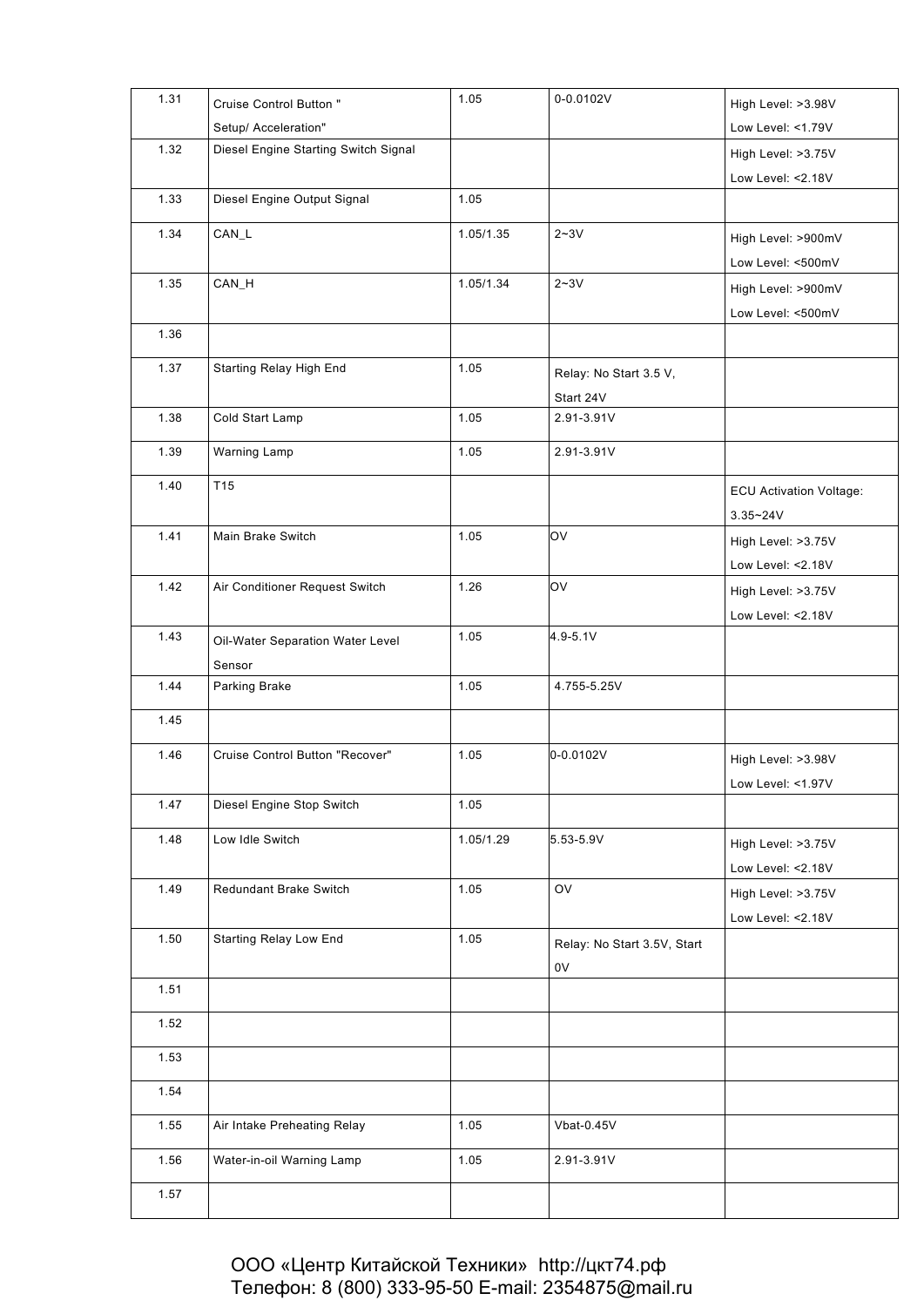| 1.31 | Cruise Control Button "              | 1.05      | 0-0.0102V                   | High Level: >3.98V             |
|------|--------------------------------------|-----------|-----------------------------|--------------------------------|
|      | Setup/ Acceleration"                 |           |                             | Low Level: <1.79V              |
| 1.32 | Diesel Engine Starting Switch Signal |           |                             | High Level: >3.75V             |
|      |                                      |           |                             | Low Level: <2.18V              |
| 1.33 | Diesel Engine Output Signal          | 1.05      |                             |                                |
|      |                                      |           |                             |                                |
| 1.34 | CAN_L                                | 1.05/1.35 | $2 - 3V$                    | High Level: >900mV             |
|      |                                      |           |                             | Low Level: <500mV              |
| 1.35 | CAN_H                                | 1.05/1.34 | $2 - 3V$                    | High Level: >900mV             |
|      |                                      |           |                             | Low Level: <500mV              |
| 1.36 |                                      |           |                             |                                |
| 1.37 | Starting Relay High End              | 1.05      | Relay: No Start 3.5 V,      |                                |
|      |                                      |           | Start 24V                   |                                |
| 1.38 | Cold Start Lamp                      | 1.05      | 2.91-3.91V                  |                                |
|      |                                      |           |                             |                                |
| 1.39 | Warning Lamp                         | 1.05      | 2.91-3.91V                  |                                |
| 1.40 | T <sub>15</sub>                      |           |                             | <b>ECU Activation Voltage:</b> |
|      |                                      |           |                             | $3.35 - 24V$                   |
| 1.41 | Main Brake Switch                    | 1.05      | OV                          | High Level: >3.75V             |
|      |                                      |           |                             | Low Level: <2.18V              |
| 1.42 | Air Conditioner Request Switch       | 1.26      | OV                          | High Level: >3.75V             |
|      |                                      |           |                             | Low Level: <2.18V              |
| 1.43 |                                      | 1.05      | 4.9-5.1V                    |                                |
|      | Oil-Water Separation Water Level     |           |                             |                                |
| 1.44 | Sensor<br>Parking Brake              | 1.05      | 4.755-5.25V                 |                                |
|      |                                      |           |                             |                                |
| 1.45 |                                      |           |                             |                                |
| 1.46 | Cruise Control Button "Recover"      | 1.05      | 0-0.0102V                   | High Level: >3.98V             |
|      |                                      |           |                             | Low Level: <1.97V              |
| 1.47 | Diesel Engine Stop Switch            | 1.05      |                             |                                |
|      |                                      |           |                             |                                |
| 1.48 | Low Idle Switch                      | 1.05/1.29 | 5.53-5.9V                   | High Level: >3.75V             |
|      |                                      |           |                             | Low Level: <2.18V              |
| 1.49 | Redundant Brake Switch               | 1.05      | OV                          | High Level: >3.75V             |
|      |                                      |           |                             | Low Level: <2.18V              |
| 1.50 | Starting Relay Low End               | 1.05      | Relay: No Start 3.5V, Start |                                |
|      |                                      |           | 0V                          |                                |
| 1.51 |                                      |           |                             |                                |
| 1.52 |                                      |           |                             |                                |
|      |                                      |           |                             |                                |
| 1.53 |                                      |           |                             |                                |
| 1.54 |                                      |           |                             |                                |
| 1.55 | Air Intake Preheating Relay          | 1.05      | Vbat-0.45V                  |                                |
| 1.56 | Water-in-oil Warning Lamp            | 1.05      | 2.91-3.91V                  |                                |
| 1.57 |                                      |           |                             |                                |
|      |                                      |           |                             |                                |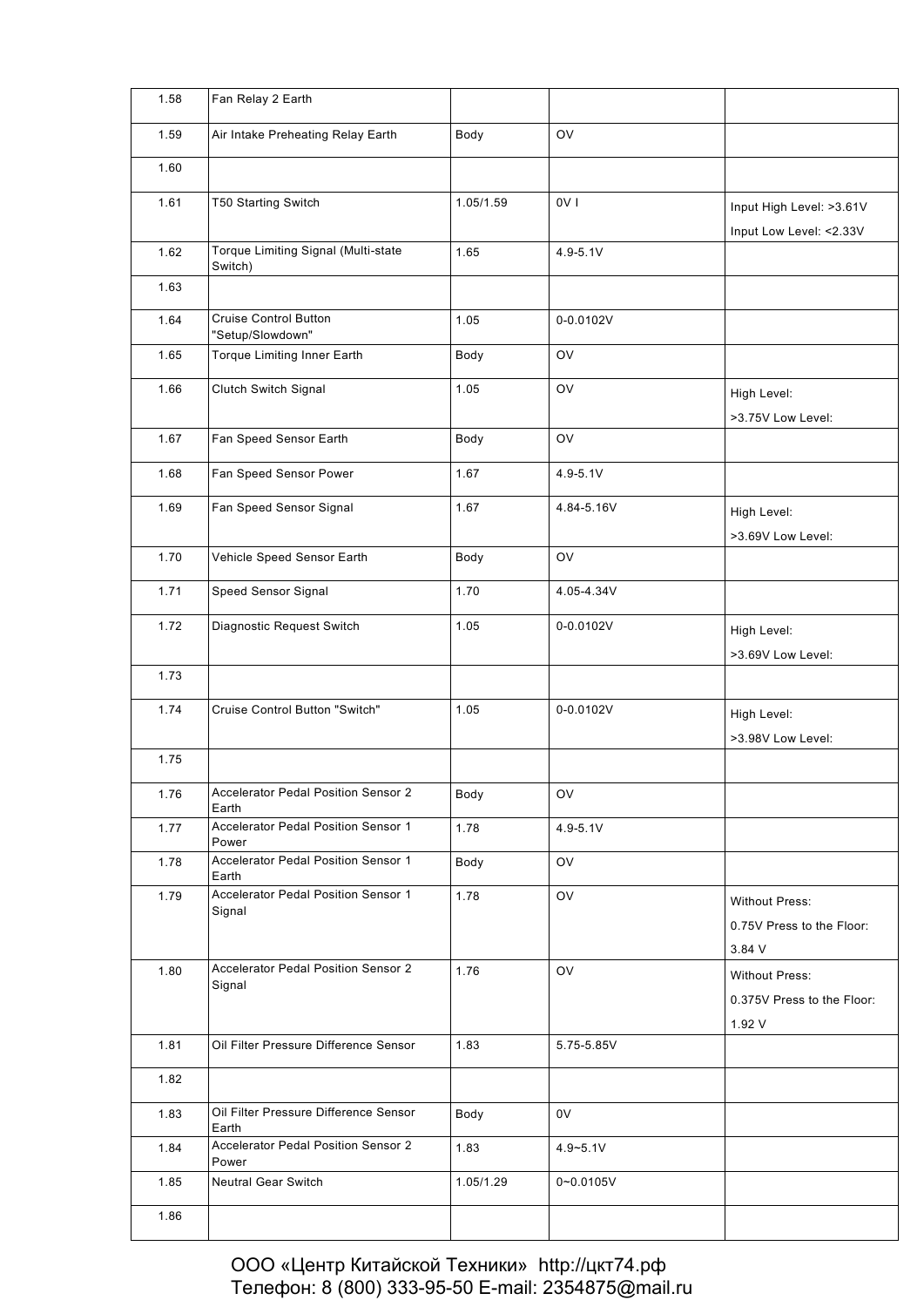| 1.58 | Fan Relay 2 Earth                                    |           |                 |                            |
|------|------------------------------------------------------|-----------|-----------------|----------------------------|
| 1.59 | Air Intake Preheating Relay Earth                    | Body      | <b>OV</b>       |                            |
| 1.60 |                                                      |           |                 |                            |
| 1.61 | T50 Starting Switch                                  | 1.05/1.59 | OV <sub>1</sub> | Input High Level: >3.61V   |
|      |                                                      |           |                 | Input Low Level: <2.33V    |
| 1.62 | Torque Limiting Signal (Multi-state<br>Switch)       | 1.65      | $4.9 - 5.1V$    |                            |
| 1.63 |                                                      |           |                 |                            |
| 1.64 | <b>Cruise Control Button</b><br>"Setup/Slowdown"     | 1.05      | 0-0.0102V       |                            |
| 1.65 | Torque Limiting Inner Earth                          | Body      | OV              |                            |
| 1.66 | Clutch Switch Signal                                 | 1.05      | OV              | High Level:                |
|      |                                                      |           |                 | >3.75V Low Level:          |
| 1.67 | Fan Speed Sensor Earth                               | Body      | OV              |                            |
| 1.68 | Fan Speed Sensor Power                               | 1.67      | $4.9 - 5.1V$    |                            |
| 1.69 | Fan Speed Sensor Signal                              | 1.67      | 4.84-5.16V      | High Level:                |
|      |                                                      |           |                 | >3.69V Low Level:          |
| 1.70 | Vehicle Speed Sensor Earth                           | Body      | OV              |                            |
| 1.71 | Speed Sensor Signal                                  | 1.70      | 4.05-4.34V      |                            |
| 1.72 | Diagnostic Request Switch                            | 1.05      | 0-0.0102V       | High Level:                |
|      |                                                      |           |                 | >3.69V Low Level:          |
| 1.73 |                                                      |           |                 |                            |
| 1.74 | Cruise Control Button "Switch"                       | 1.05      | $0 - 0.0102V$   | High Level:                |
|      |                                                      |           |                 | >3.98V Low Level:          |
| 1.75 |                                                      |           |                 |                            |
| 1.76 | Accelerator Pedal Position Sensor 2<br>Earth         | Body      | OV              |                            |
| 1.77 | Accelerator Pedal Position Sensor 1<br>Power         | 1.78      | $4.9 - 5.1V$    |                            |
| 1.78 | Accelerator Pedal Position Sensor 1<br>Earth         | Body      | OV              |                            |
| 1.79 | Accelerator Pedal Position Sensor 1<br>Signal        | 1.78      | OV              | <b>Without Press:</b>      |
|      |                                                      |           |                 | 0.75V Press to the Floor:  |
|      |                                                      |           |                 | 3.84 V                     |
| 1.80 | <b>Accelerator Pedal Position Sensor 2</b><br>Signal | 1.76      | OV              | <b>Without Press:</b>      |
|      |                                                      |           |                 | 0.375V Press to the Floor: |
|      |                                                      |           |                 | 1.92 V                     |
| 1.81 | Oil Filter Pressure Difference Sensor                | 1.83      | 5.75-5.85V      |                            |
| 1.82 |                                                      |           |                 |                            |
| 1.83 | Oil Filter Pressure Difference Sensor<br>Earth       | Body      | 0V              |                            |
| 1.84 | Accelerator Pedal Position Sensor 2<br>Power         | 1.83      | $4.9 - 5.1V$    |                            |
| 1.85 | <b>Neutral Gear Switch</b>                           | 1.05/1.29 | $0 - 0.0105V$   |                            |
| 1.86 |                                                      |           |                 |                            |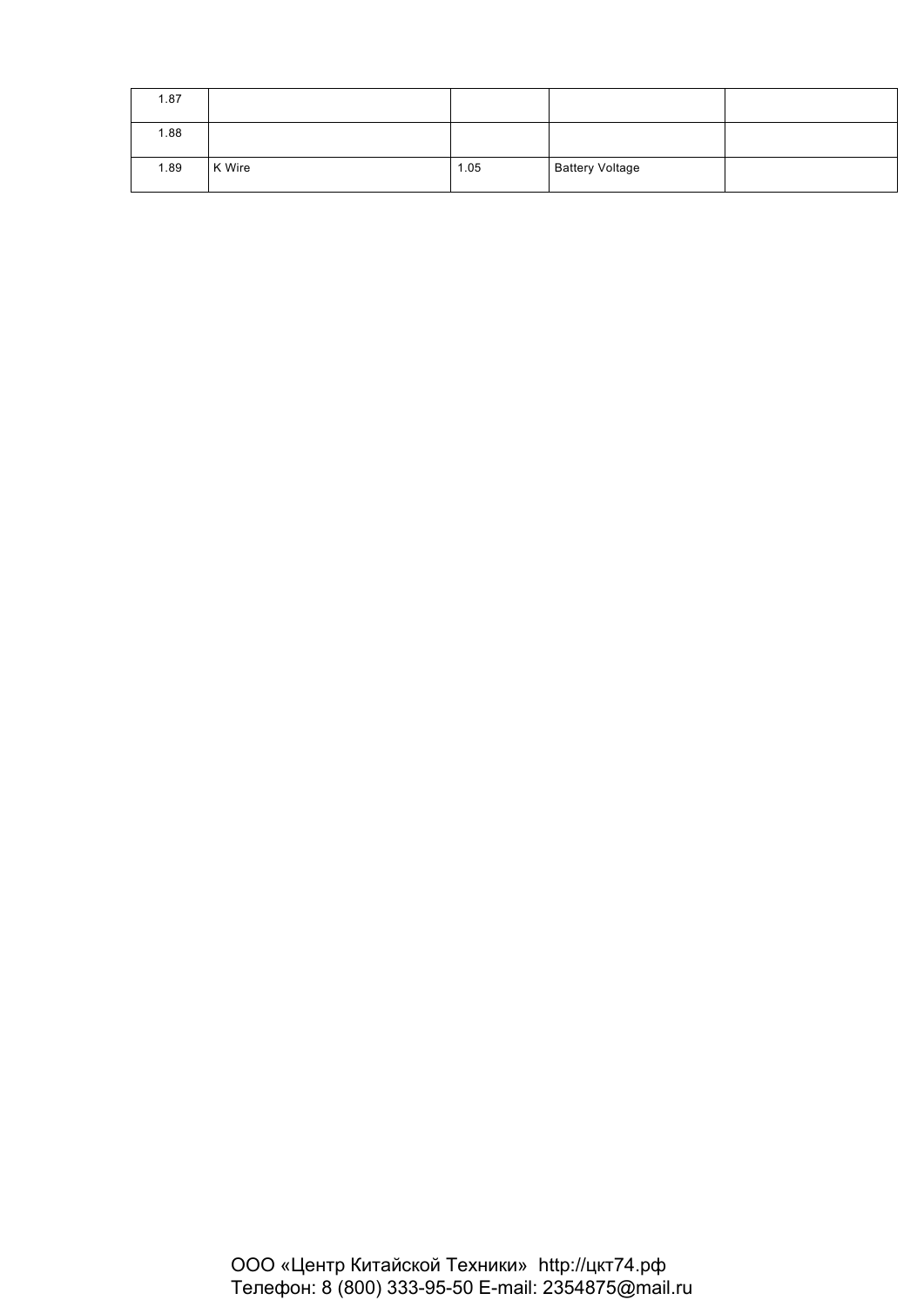| 1.87 |        |      |                        |  |
|------|--------|------|------------------------|--|
| 1.88 |        |      |                        |  |
| 1.89 | K Wire | 1.05 | <b>Battery Voltage</b> |  |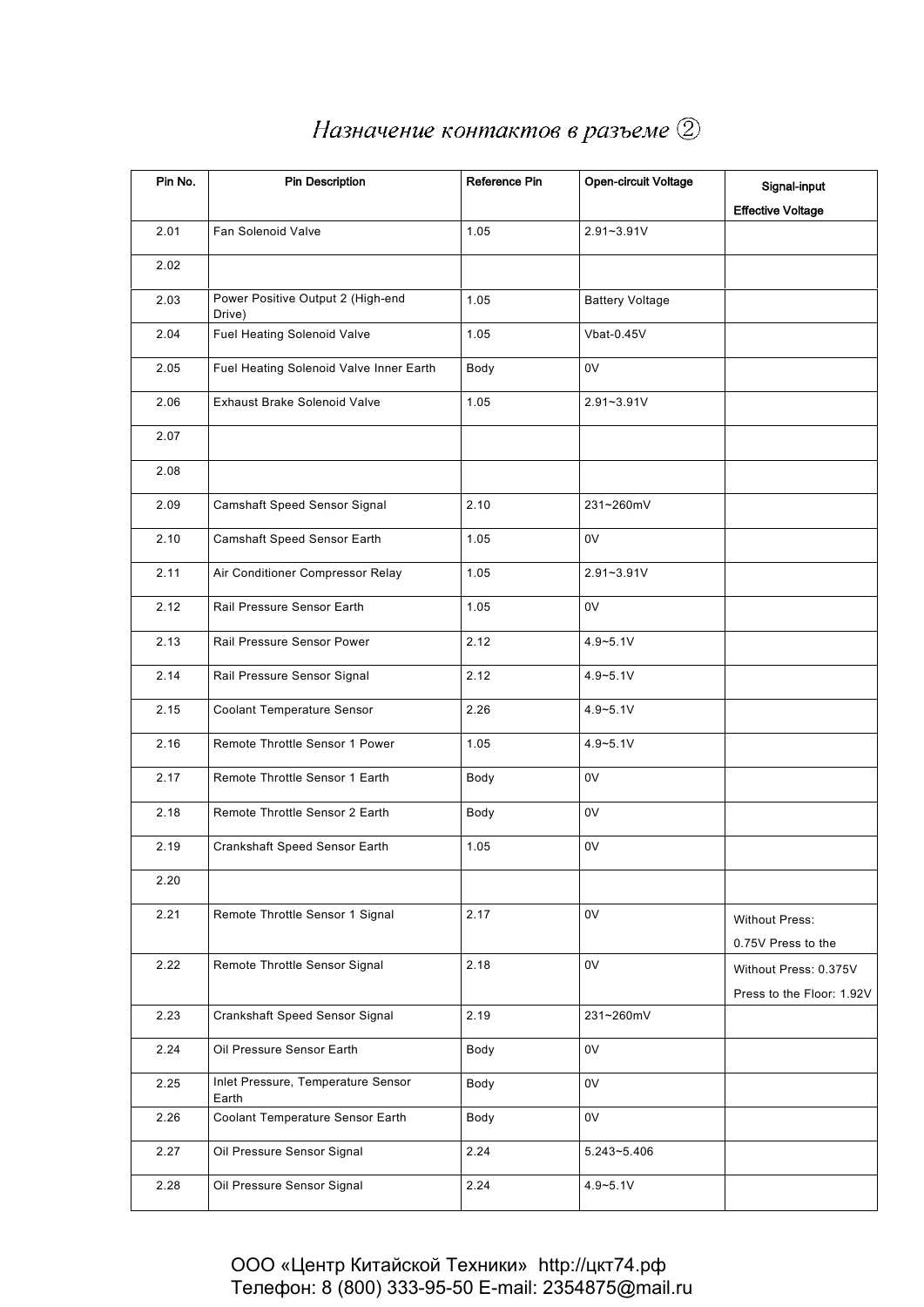| Pin No. | <b>Pin Description</b>                      | Reference Pin | Open-circuit Voltage   | Signal-input              |
|---------|---------------------------------------------|---------------|------------------------|---------------------------|
|         |                                             |               |                        | <b>Effective Voltage</b>  |
| 2.01    | Fan Solenoid Valve                          | 1.05          | $2.91 - 3.91V$         |                           |
| 2.02    |                                             |               |                        |                           |
| 2.03    | Power Positive Output 2 (High-end<br>Drive) | 1.05          | <b>Battery Voltage</b> |                           |
| 2.04    | Fuel Heating Solenoid Valve                 | 1.05          | Vbat-0.45V             |                           |
| 2.05    | Fuel Heating Solenoid Valve Inner Earth     | Body          | 0V                     |                           |
| 2.06    | <b>Exhaust Brake Solenoid Valve</b>         | 1.05          | 2.91~3.91V             |                           |
| 2.07    |                                             |               |                        |                           |
| 2.08    |                                             |               |                        |                           |
| 2.09    | Camshaft Speed Sensor Signal                | 2.10          | 231~260mV              |                           |
| 2.10    | Camshaft Speed Sensor Earth                 | 1.05          | 0V                     |                           |
| 2.11    | Air Conditioner Compressor Relay            | 1.05          | 2.91~3.91V             |                           |
| 2.12    | Rail Pressure Sensor Earth                  | 1.05          | 0V                     |                           |
| 2.13    | Rail Pressure Sensor Power                  | 2.12          | $4.9 - 5.1V$           |                           |
| 2.14    | Rail Pressure Sensor Signal                 | 2.12          | $4.9 - 5.1V$           |                           |
| 2.15    | Coolant Temperature Sensor                  | 2.26          | $4.9 - 5.1V$           |                           |
| 2.16    | Remote Throttle Sensor 1 Power              | 1.05          | $4.9 - 5.1V$           |                           |
| 2.17    | Remote Throttle Sensor 1 Earth              | Body          | 0V                     |                           |
| 2.18    | Remote Throttle Sensor 2 Earth              | Body          | 0V                     |                           |
| 2.19    | Crankshaft Speed Sensor Earth               | 1.05          | 0V                     |                           |
| 2.20    |                                             |               |                        |                           |
| 2.21    | Remote Throttle Sensor 1 Signal             | 2.17          | 0V                     | Without Press:            |
|         |                                             |               |                        | 0.75V Press to the        |
| 2.22    | Remote Throttle Sensor Signal               | 2.18          | 0V                     | Without Press: 0.375V     |
|         |                                             |               |                        | Press to the Floor: 1.92V |
| 2.23    | Crankshaft Speed Sensor Signal              | 2.19          | 231~260mV              |                           |
| 2.24    | Oil Pressure Sensor Earth                   | Body          | 0V                     |                           |
| 2.25    | Inlet Pressure, Temperature Sensor<br>Earth | Body          | 0V                     |                           |
| 2.26    | Coolant Temperature Sensor Earth            | Body          | 0V                     |                           |
| 2.27    | Oil Pressure Sensor Signal                  | 2.24          | 5.243~5.406            |                           |
| 2.28    | Oil Pressure Sensor Signal                  | 2.24          | $4.9 - 5.1V$           |                           |

## Назначение контактов в разъеме 2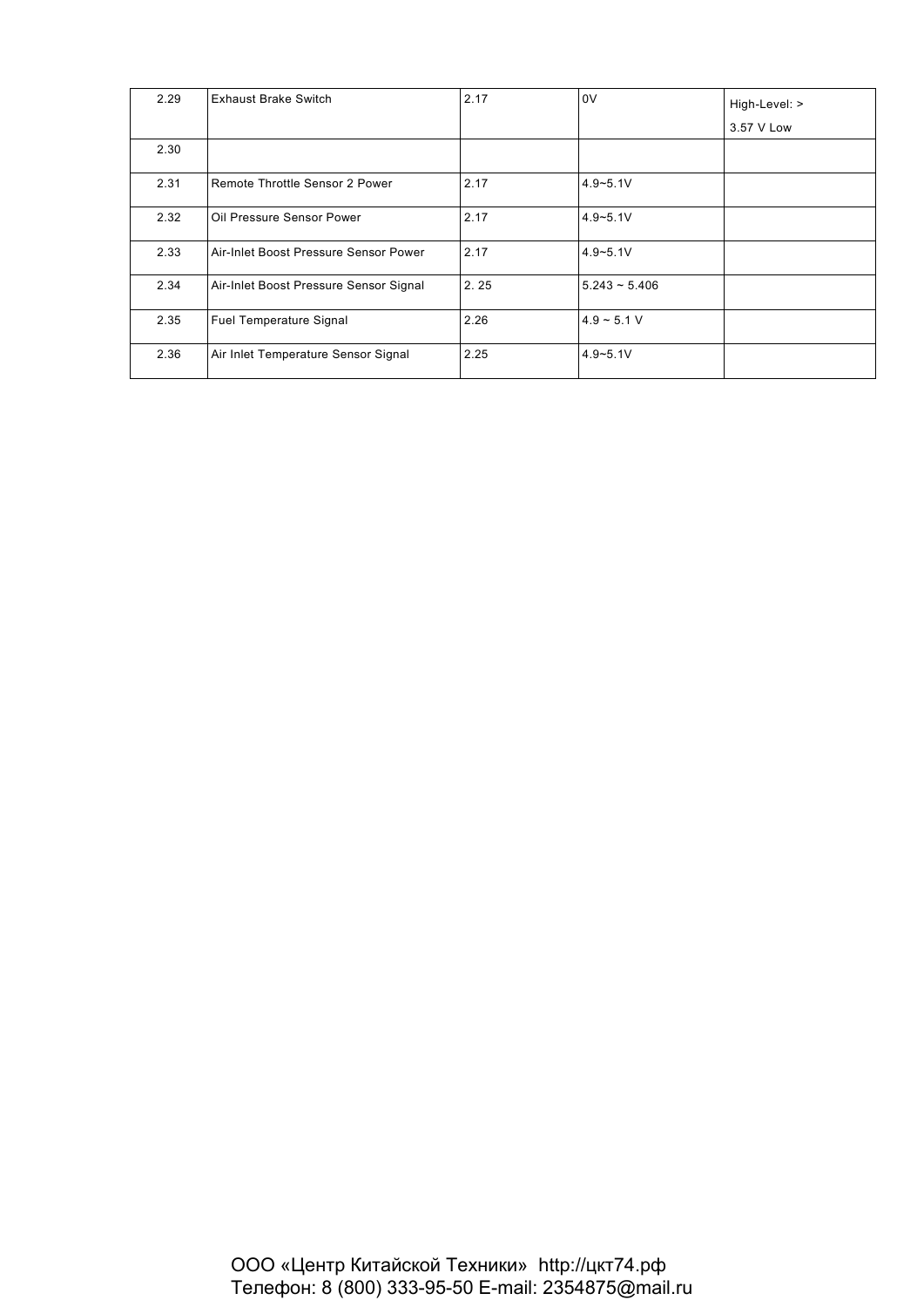| 2.29 | <b>Exhaust Brake Switch</b>            | 2.17 | 0V              | High-Level: > |
|------|----------------------------------------|------|-----------------|---------------|
|      |                                        |      |                 | 3.57 V Low    |
| 2.30 |                                        |      |                 |               |
| 2.31 | Remote Throttle Sensor 2 Power         | 2.17 | $4.9 - 5.1V$    |               |
| 2.32 | Oil Pressure Sensor Power              | 2.17 | $4.9 - 5.1V$    |               |
| 2.33 | Air-Inlet Boost Pressure Sensor Power  | 2.17 | $4.9 - 5.1V$    |               |
| 2.34 | Air-Inlet Boost Pressure Sensor Signal | 2.25 | $5.243 - 5.406$ |               |
| 2.35 | Fuel Temperature Signal                | 2.26 | $4.9 - 5.1 V$   |               |
| 2.36 | Air Inlet Temperature Sensor Signal    | 2.25 | $4.9 - 5.1V$    |               |